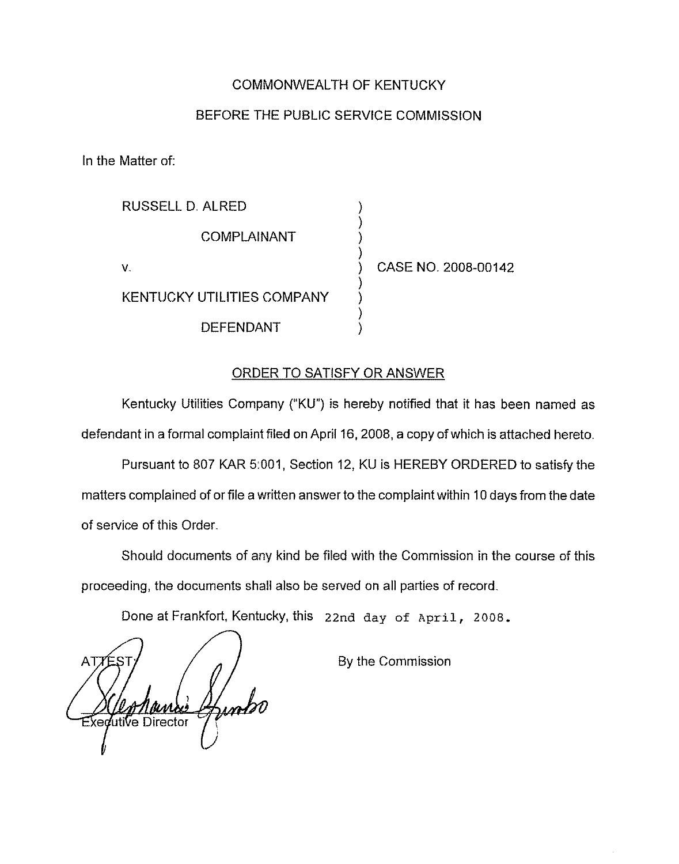## COMMONWEALTH OF KENTUCKY

## BEFORE THE PUBLIC SERVICE COMMISSION

In the Matter of:

| RUSSELL D. ALRED           |                     |
|----------------------------|---------------------|
| COMPLAINANT                |                     |
| v.                         | CASE NO. 2008-00142 |
| KENTUCKY UTILITIES COMPANY |                     |
| <b>DEFENDANT</b>           |                     |

## ORDER TO SATISFY OR ANSWER

Kentucky Utilities Company ("KU") is hereby notified that it has been named as defendant in a formal complaint filed on April 16, 2008, a copy of which is attached hereto.

Pursuant to 807 KAR 5:001, Section 12, KU is HEREBY ORDERED to satisfy the matters complained of or file a written answer to the complaint within 10 days from the date of service of this Order.

Should documents of any kind be filed with the Commission in the course of this proceeding, the documents shall also be served on all parties of record

Done at Frankfort, Kentucky, this 22nd day of April, 2008.

AT Gunt **Xedutive Director** 

By the Commission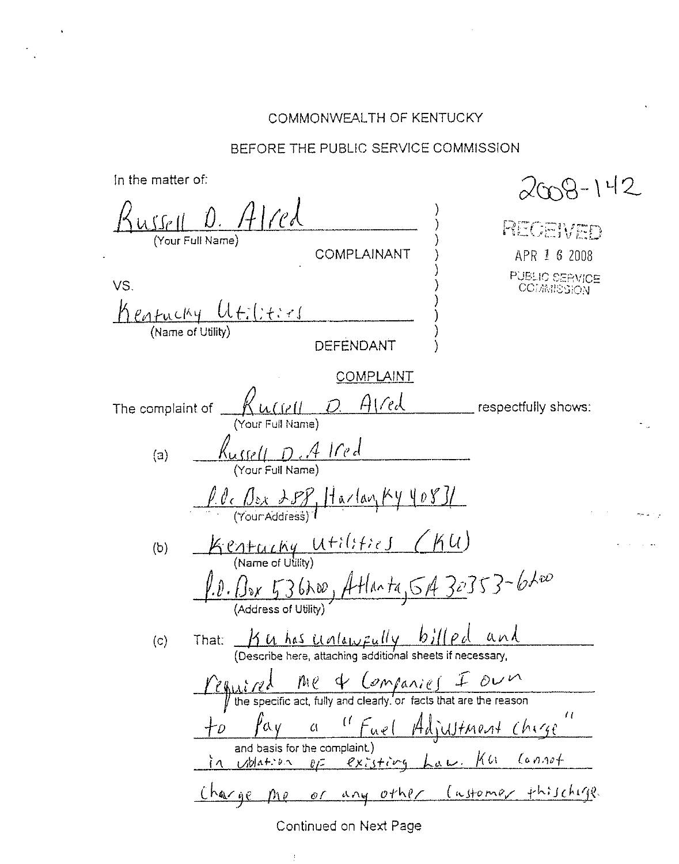## COMMONWEALTH OF KENTUCKY

## BEFORE THE PUBLIC SERVICE COMMISSION

In the matter of:

 $2009 - 142$ <u>ussell D. Alred</u> RECEWED Your Full Name) COMPLAINANT APR 1 6 2008 PUBLIC SERVICE<br>COMMISSION VS.  $Keathuclky$   $Uf:(f,f,f)$ </u> **DEFENDANT COMPLAINT**  $A$  (red  $Ku(r||D)$ The complaint of  $\mathbf{r}$ respectfully shows: Russell D. A Ired  $(a)$  $\frac{\int \theta_c \int_{\delta x} \int \mathcal{F} \mathcal{F}}{(\gamma_{\text{outAclidean}})}$  Harlan  $\frac{K\psi \psi \psi \mathcal{F}}{(\gamma_{\text{outAclidean}})}$ Kentacky Utilities (KU)  $(b)$  $1.0.88 \times 53600,$  Atlanta, 5A 30353-6200 That:  $M has Unlawfuly by ||pcl and$ <br>(Describe here, attaching additional sheets if necessary,  $(c)$  $\frac{\sqrt{e^2-1} \pi}{\sqrt{e^2}}$  on  $\frac{\pi}{e}$   $\frac{\pi}{e}$   $\frac{\pi}{e}$   $\frac{\pi}{e}$  $\int \mathcal{L} \mathcal{L} \mathcal{L}$ a "Fuel Adjustment chige and basis for the complaint.) of existing Law. Ka Connot in ublation Charge me or any other (astomer thischige

## Continued on Next Page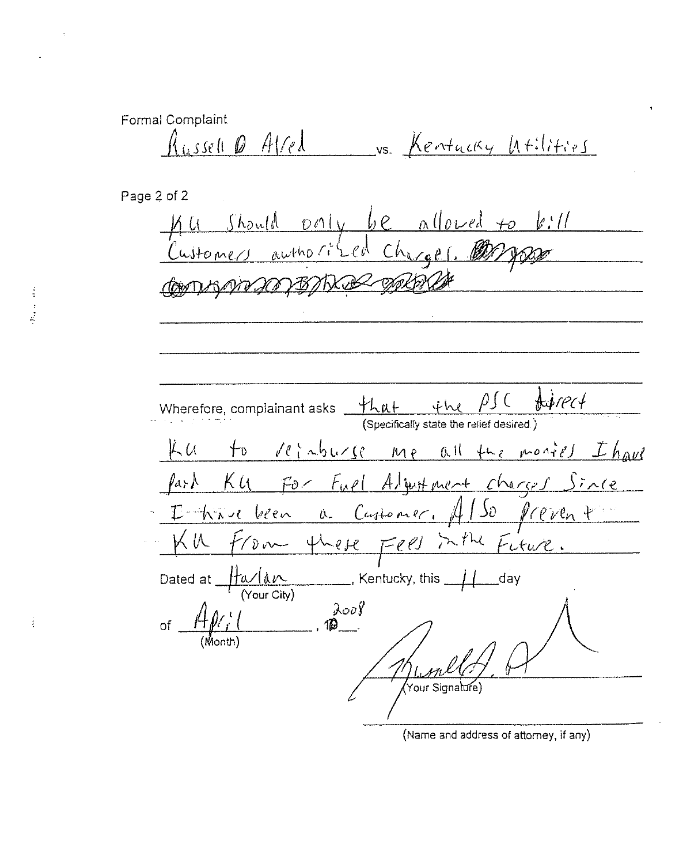Formal Complaint Russell Q Alred vs. Kentucky Utilities

Page 2 of 2 Ku Should poily be allowed to bill<br>Customers authorized Charges. 2007 Commander BARCE Wherefore, complainant asks  $\underbrace{+L\alpha+\cdots+L\alpha}_{(Specifically state the relief desired)}$  $\frac{4}{3}$ rect Ku to reinburse me all the monies I have Part Ku For Fuel Algust ment charges Since - I kave been a Customer. Al So prevent KU From these Fees in the Fiture. Dated at  $\frac{\text{frac}}{\text{(Your City)}}$ , Kentucky, this  $\frac{1}{\text{(Your City)}}$  $\frac{\lambda^{00}y}{\lambda^{00}}$ of  $A\mathscr{N}_r$ .<br>Your Signalure)

à

(Name and address of attorney, if any)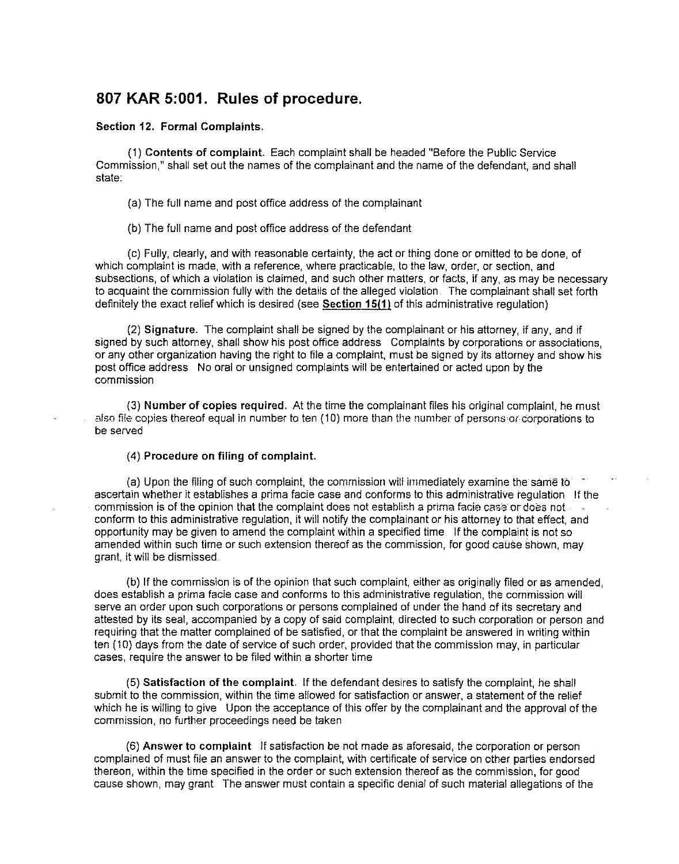## 807 KAR 5:001. Rules of procedure.

#### Section 12. Formal Complaints.

(1) Contents of complaint. Each complaint shall be headed "Before the Public Service Commission," shall set out the names of the complainant and the name of the defendant, and shall state:

(a) The full name and post office address of the complainant

(b) The full name and post office address of the defendant

(c) Fully, clearly, and with reasonable certainty, the act or thing done or omitted to be done, of which complaint is made, with a reference, where practicable, to the law, order, or section, and subsections, of which a violation is claimed, and such other matters, or facts, if any, as may be necessary to acquaint the commission fully with the details of the alleged violation The complainant shall set forth definitely the exact relief which is desired (see Section 15(1) of this administrative requlation).

(2) Signature. The complaint shall be signed by the complainant or his attorney, if any, and if signed by such attorney, shall show his post office address Complaints by corporations or associations, or any other organization having the right to file a complaint, must be signed by its attorney and show his post office address No oral or unsigned complaints will be entertained or acted upon by the commission

(3) Number of copies required. At the time the complainant tiles his original complaint, he must also file copies thereof equal in number to ten (10) more than the number of persons or corporations to be served

#### (4) Procedure on filing of complaint.

(a) Upon the filing of such complaint, the commission will immediately examine the same to ascertain whether it establishes a prima facie case and conforms to this administrative regulation If the commission is of the opinion that the complaint does not establish a prima facie case or does not conform to this administrative regulation, it will notify the complainant or his altorney to that effect, and opportunity may be given to amend the complaint within a specified time If the complaint is not so amended within such time or such extension thereof as the commission, for good cause shown, may grant, it will be dismissed

(b) If the commission is of the opinion that such complaint, either as originafiy filed or as amended, does establish a prima facie case and conforms to this administrative regulation, Ihe commission will serve an order upon such corporations or persons complained of under the hand of its secretary and attested by its seal, accompanied by a copy of said complaint, directed to such corporation or person and requiring that the matter complained of be satisfied, or that the complaint be answered in writing within ten (10) days from the date of service of such order, provided that the commission may, in particular cases, require the answer to be filed within a shorter time

(5) Satisfaction of the complaint, If the defendant desires to satisfy the complaint, he shall submit to the commission, within the time allowed for satisfaction or answer, a statement of the relief which he is willing to give Upon the acceptance of this offer by the complainant and the approval of the commission, no further proceedings need be taken

(6) Answer to complaint If satisfaction be not made as aforesaid, the corporation or person complained of must file an answer to the complaint, with certificate of service on other parties endorsed thereon, within the time specified in the order or such extension thereof as the commission, for good cause shown, may grant The answer must contain a specific denial of such material allegations of the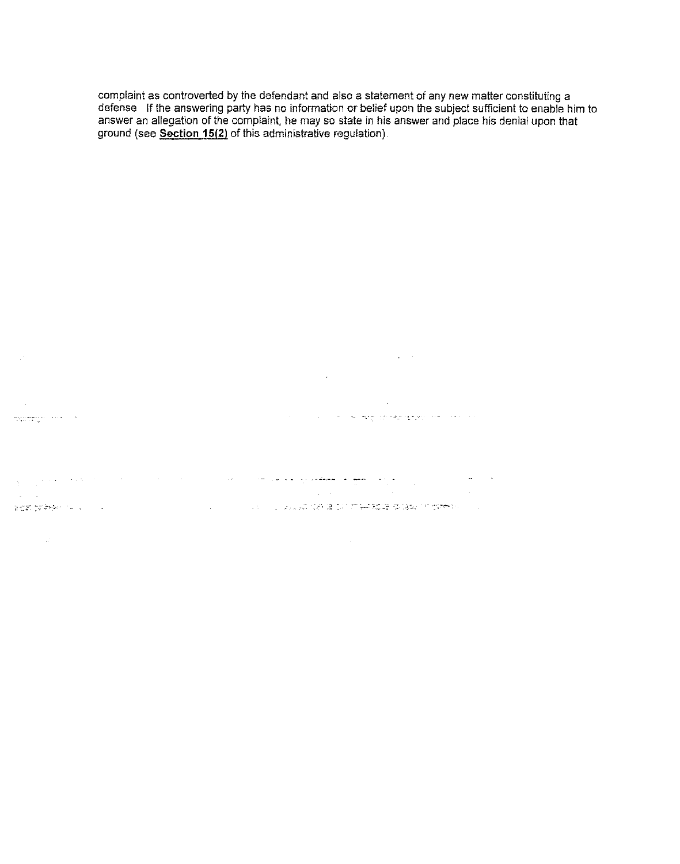complaint as controverted by the defendant and also a statement of any new matter constituting a defense If the answering party has no information or belief upon the subject sufficient to enable him to answer an allegation of the complaint, he may so state in his answer and place his denial upon that ground (see Section 15(2) of this administrative regulation).

 $\mathcal{L}^{\text{max}}_{\text{max}}$  , where  $\mathcal{L}^{\text{max}}_{\text{max}}$  $\label{eq:4} \frac{1}{\sqrt{2}}\int_{0}^{\frac{1}{2}}\frac{1}{\sqrt{2}}\left(\frac{1}{\sqrt{2}}\right)^{2}d\mu_{\rm{B}}\,d\mu_{\rm{B}}$ 

 $\mathcal{L}^{\text{max}}_{\text{max}}$  $\sim$ المتحدث والمستعمل وموقودها فالمحافي والمحافظة المحادث والمستحدث mention from the

a sa bandar da kara ta 1990 a sa bandar da sa bandar da kara <mark>sa baya gawa wanyin sa sa</mark> bandar da sa bandar da<br>Manazarta  $\omega_{\rm{max}}$  and  $\omega_{\rm{max}}$ .<br>1980년 1989년 1월 1일 - 대한민국의 대한민국의 대한민국의 대한민국의 대한민국의 대한민국의 대한민국의 대한민국의 대한민국의 대한민국의 대한민국의 대한민국의 대한민국의 대한민국의 대한민국의

 $\sim 200$  $\sim 10^{-1}$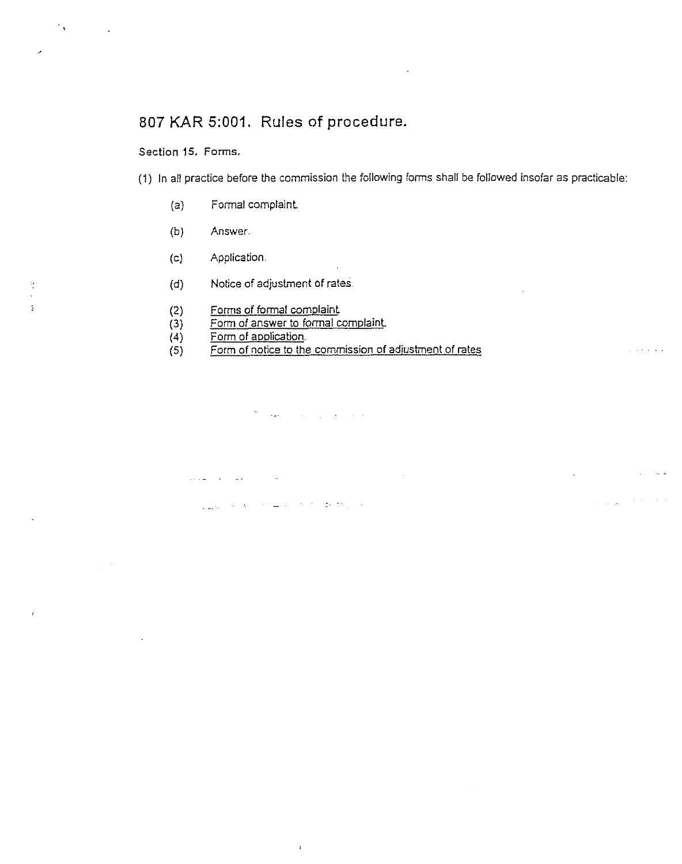# 807 KAR 5:001. Rules of procedure.

### Section 15. Forms.

 $^{\prime\prime}$  .

 $\frac{1}{\pi}$ 

Ň

 $\frac{1}{2}$  ,  $\frac{1}{2}$ 

(1) In ait practice before the commission the following forms shall be followed insofar as practicable;

 $\sim$  100  $\mu$ 

 $\label{eq:1} \frac{1}{\sqrt{2\pi}\left(1-\sqrt{2\pi}\right)}\left(\frac{1}{\sqrt{2\pi}}\right)^{1/2}\left(\frac{1}{\sqrt{2\pi}}\right)^{1/2}\left(\frac{1}{\sqrt{2\pi}}\right)^{1/2}.$ 

- (a) Formal complaint
- (b) Answer
- (c) Application.
- (d) Notice of adjustment of rates
- (2) Forms of formal cornolaint.
- (3) Form of answer to formal complaint.

 $\mathcal{L}_{\text{adv}}(\mathcal{L}_{\text{adv}}(\mathcal{A})) = \mathcal{L}_{\text{adv}}(\mathcal{A}) = \mathcal{L}_{\text{adv}}(\mathcal{L}_{\text{adv}}(\mathcal{A}))$ 

þ,

(4) <u>Form of applicatio</u>

بلاري والتعقيب القاريطينية

(5) Form of notice to the commission of adiustment of rates

والمحافظ والمراوي والمتعارف المقمات